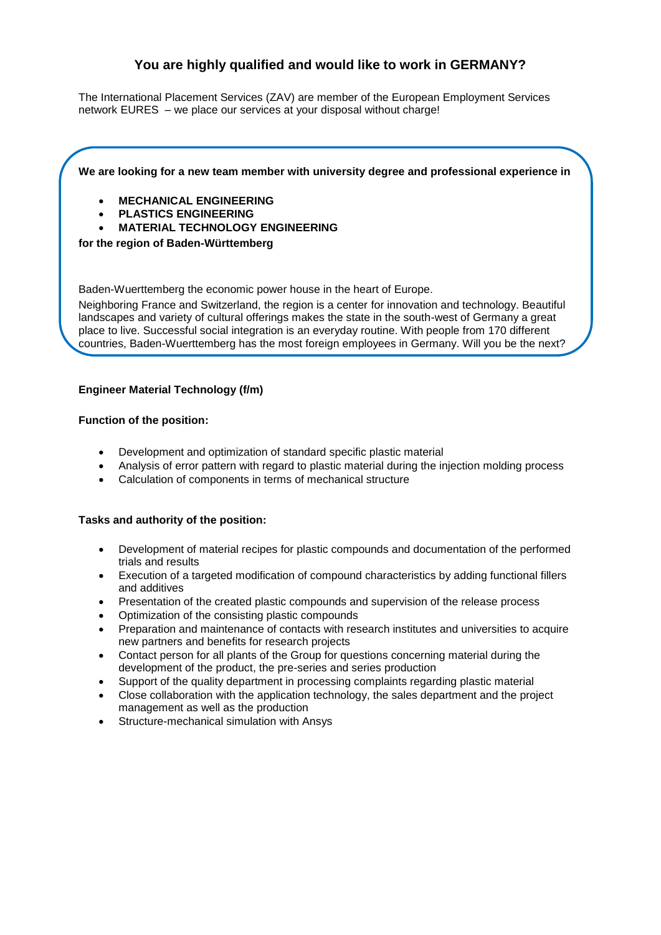# **You are highly qualified and would like to work in GERMANY?**

The International Placement Services (ZAV) are member of the European Employment Services network [EURES](http://ec.europa.eu/eures) – [we](http://dict.leo.org/ende/index_de.html#/search=We&searchLoc=0&resultOrder=basic&multiwordShowSingle=on) [place](http://dict.leo.org/ende/index_de.html#/search=place&searchLoc=0&resultOrder=basic&multiwordShowSingle=on) [our](http://dict.leo.org/ende/index_de.html#/search=our&searchLoc=0&resultOrder=basic&multiwordShowSingle=on) [services](http://dict.leo.org/ende/index_de.html#/search=services&searchLoc=0&resultOrder=basic&multiwordShowSingle=on) [at](http://dict.leo.org/ende/index_de.html#/search=at&searchLoc=0&resultOrder=basic&multiwordShowSingle=on) [your](http://dict.leo.org/ende/index_de.html#/search=your&searchLoc=0&resultOrder=basic&multiwordShowSingle=on) disposal without charge!

# **We are looking for a new team member with university degree and professional experience in**

- **MECHANICAL ENGINEERING**
- **PLASTICS ENGINEERING**
- **MATERIAL TECHNOLOGY ENGINEERING**

# **for the region of Baden-Württemberg**

Baden-Wuerttemberg the economic power house in the heart of Europe.

Neighboring France and Switzerland, the region is a center for innovation and technology. Beautiful landscapes and variety of cultural offerings makes the state in the south-west of Germany a great place to live. Successful social integration is an everyday routine. With people from 170 different countries, Baden-Wuerttemberg has the most foreign employees in Germany. Will you be the next?

# **Engineer Material Technology (f/m)**

#### **Function of the position:**

- Development and optimization of standard specific plastic material
- Analysis of error pattern with regard to plastic material during the injection molding process
- Calculation of components in terms of mechanical structure

#### **Tasks and authority of the position:**

- Development of material recipes for plastic compounds and documentation of the performed trials and results
- Execution of a targeted modification of compound characteristics by adding functional fillers and additives
- Presentation of the created plastic compounds and supervision of the release process
- Optimization of the consisting plastic compounds
- Preparation and maintenance of contacts with research institutes and universities to acquire new partners and benefits for research projects
- Contact person for all plants of the Group for questions concerning material during the development of the product, the pre-series and series production
- Support of the quality department in processing complaints regarding plastic material
- Close collaboration with the application technology, the sales department and the project management as well as the production
- Structure-mechanical simulation with Ansys